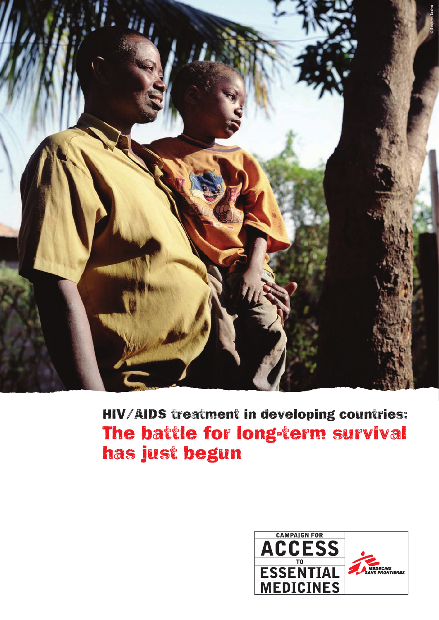

# HIV/AIDS treatment in developing countries: The battle for long-term survival has just begun

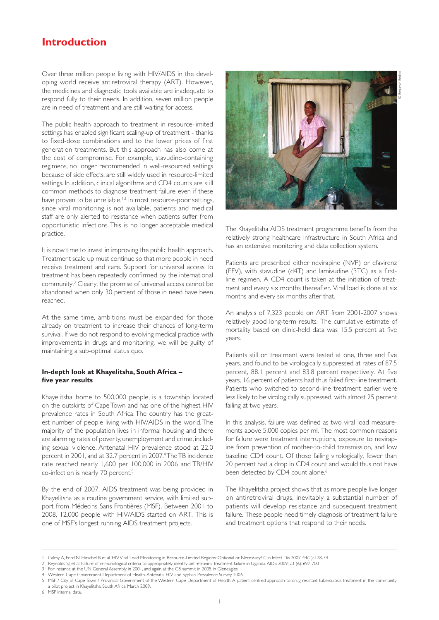## **Introduction**

Over three million people living with HIV/AIDS in the developing world receive antiretroviral therapy (ART). However, the medicines and diagnostic tools available are inadequate to respond fully to their needs. In addition, seven million people are in need of treatment and are still waiting for access.

The public health approach to treatment in resource-limited settings has enabled significant scaling-up of treatment - thanks to fixed-dose combinations and to the lower prices of first generation treatments. But this approach has also come at the cost of compromise. For example, stavudine-containing regimens, no longer recommended in well-resourced settings because of side effects, are still widely used in resource-limited settings. In addition, clinical algorithms and CD4 counts are still common methods to diagnose treatment failure even if these have proven to be unreliable.<sup>1,2</sup> In most resource-poor settings, since viral monitoring is not available, patients and medical staff are only alerted to resistance when patients suffer from opportunistic infections. This is no longer acceptable medical practice.

It is now time to invest in improving the public health approach. Treatment scale up must continue so that more people in need receive treatment and care. Support for universal access to treatment has been repeatedly confirmed by the international community.3 Clearly, the promise of universal access cannot be abandoned when only 30 percent of those in need have been reached.

At the same time, ambitions must be expanded for those already on treatment to increase their chances of long-term survival. If we do not respond to evolving medical practice with improvements in drugs and monitoring, we will be guilty of maintaining a sub-optimal status quo.

### **In-depth look at Khayelitsha, South Africa – five year results**

Khayelitsha, home to 500,000 people, is a township located on the outskirts of Cape Town and has one of the highest HIV prevalence rates in South Africa. The country has the greatest number of people living with HIV/AIDS in the world. The majority of the population lives in informal housing and there are alarming rates of poverty, unemployment and crime, including sexual violence. Antenatal HIV prevalence stood at 22.0 percent in 2001, and at 32.7 percent in 2007.<sup>4</sup>The TB incidence rate reached nearly 1,600 per 100,000 in 2006 and TB/HIV co-infection is nearly 70 percent.<sup>5</sup>

By the end of 2007, AIDS treatment was being provided in Khayelitsha as a routine government service, with limited support from Médecins Sans Frontières (MSF). Between 2001 to 2008, 12,000 people with HIV/AIDS started on ART. This is one of MSF's longest running AIDS treatment projects.



The Khayelitsha AIDS treatment programme benefits from the relatively strong healthcare infrastructure in South Africa and has an extensive monitoring and data collection system.

Patients are prescribed either nevirapine (NVP) or efavirenz (EFV), with stavudine (d4T) and lamivudine (3TC) as a firstline regimen. A CD4 count is taken at the initiation of treatment and every six months thereafter. Viral load is done at six months and every six months after that.

An analysis of 7,323 people on ART from 2001-2007 shows relatively good long-term results. The cumulative estimate of mortality based on clinic-held data was 15.5 percent at five years.

Patients still on treatment were tested at one, three and five years, and found to be virologically suppressed at rates of 87.5 percent, 88.1 percent and 83.8 percent respectively. At five years, 16 percent of patients had thus failed first-line treatment. Patients who switched to second-line treatment earlier were less likely to be virologically suppressed, with almost 25 percent failing at two years.

In this analysis, failure was defined as two viral load measurements above 5,000 copies per ml. The most common reasons for failure were treatment interruptions, exposure to nevirapine from prevention of mother-to-child transmission, and low baseline CD4 count. Of those failing virologically, fewer than 20 percent had a drop in CD4 count and would thus not have been detected by CD4 count alone.<sup>6</sup>

The Khayelitsha project shows that as more people live longer on antiretroviral drugs, inevitably a substantial number of patients will develop resistance and subsequent treatment failure. These people need timely diagnosis of treatment failure and treatment options that respond to their needs.

<sup>1</sup> Calmy A, Ford N, Hirschel B et al. HIV Viral Load Monitoring in Resource-Limited Regions: Optional or Necessary? Clin Infect Dis 2007; 44(1): 128-34

<sup>2</sup> Reynolds SJ, et al. Failure of immunological criteria to appropriately identify antiretroviral treatment failure in Uganda. AIDS 2009; 23 (6): 697-700

<sup>3</sup> For instance at the UN General Assembly in 2001, and again at the G8 summit in 2005 in Gleneagles. 4 Western Cape Government Department of Health. Antenatal HIV and Syphilis Prevalence Survey, 2006.

<sup>5</sup> MSF / City of Cape Town / Provincial Government of the Western Cape Department of Health: A patient-centred approach to drug-resistant tuberculosis treatment in the community: a pilot project in Khayelitsha, South Africa, March 2009. 6 MSF internal data.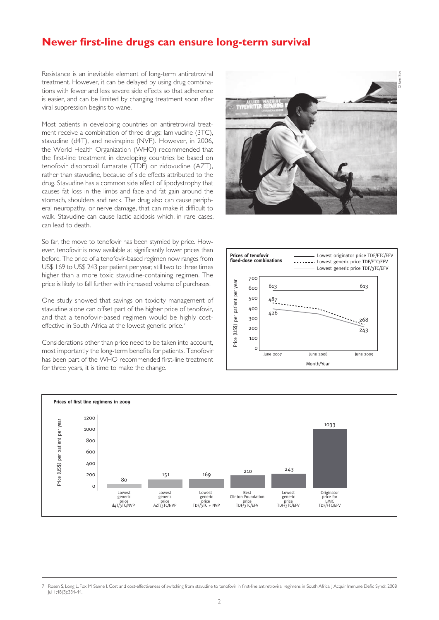## **Newer first-line drugs can ensure long-term survival**

Resistance is an inevitable element of long-term antiretroviral treatment. However, it can be delayed by using drug combinations with fewer and less severe side effects so that adherence is easier, and can be limited by changing treatment soon after viral suppression begins to wane.

Most patients in developing countries on antiretroviral treatment receive a combination of three drugs: lamivudine (3TC), stavudine (d4T), and nevirapine (NVP). However, in 2006, the World Health Organization (WHO) recommended that the first-line treatment in developing countries be based on tenofovir disoproxil fumarate (TDF) or zidovudine (AZT), rather than stavudine, because of side effects attributed to the drug. Stavudine has a common side effect of lipodystrophy that causes fat loss in the limbs and face and fat gain around the stomach, shoulders and neck. The drug also can cause peripheral neuropathy, or nerve damage, that can make it difficult to walk. Stavudine can cause lactic acidosis which, in rare cases, can lead to death.

So far, the move to tenofovir has been stymied by price. However, tenofovir is now available at significantly lower prices than before. The price of a tenofovir-based regimen now ranges from US\$ 169 to US\$ 243 per patient per year, still two to three times higher than a more toxic stavudine-containing regimen. The price is likely to fall further with increased volume of purchases.

One study showed that savings on toxicity management of stavudine alone can offset part of the higher price of tenofovir, and that a tenofovir-based regimen would be highly costeffective in South Africa at the lowest generic price.<sup>7</sup>

Considerations other than price need to be taken into account, most importantly the long-term benefits for patients. Tenofovir has been part of the WHO recommended first-line treatment for three years, it is time to make the change.







<sup>7</sup> Rosen S, Long L, Fox M, Sanne I. Cost and cost-effectiveness of switching from stavudine to tenofovir in first-line antiretroviral regimens in South Africa. J Acquir Immune Defic Syndr. 2008 Jul 1;48(3):334-44.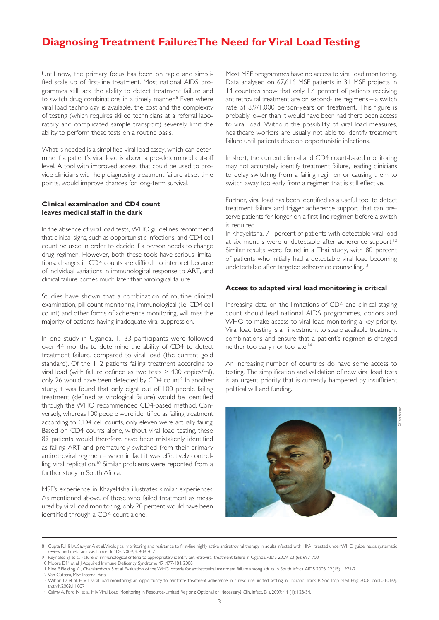# **Diagnosing Treatment Failure: The Need for Viral Load Testing**

Until now, the primary focus has been on rapid and simplified scale up of first-line treatment. Most national AIDS programmes still lack the ability to detect treatment failure and to switch drug combinations in a timely manner.<sup>8</sup> Even where viral load technology is available, the cost and the complexity of testing (which requires skilled technicians at a referral laboratory and complicated sample transport) severely limit the ability to perform these tests on a routine basis.

What is needed is a simplified viral load assay, which can determine if a patient's viral load is above a pre-determined cut-off level. A tool with improved access, that could be used to provide clinicians with help diagnosing treatment failure at set time points, would improve chances for long-term survival.

## **Clinical examination and CD4 count leaves medical staff in the dark**

In the absence of viral load tests, WHO guidelines recommend that clinical signs, such as opportunistic infections, and CD4 cell count be used in order to decide if a person needs to change drug regimen. However, both these tools have serious limitations: changes in CD4 counts are difficult to interpret because of individual variations in immunological response to ART, and clinical failure comes much later than virological failure.

Studies have shown that a combination of routine clinical examination, pill count monitoring, immunological (i.e. CD4 cell count) and other forms of adherence monitoring, will miss the majority of patients having inadequate viral suppression.

In one study in Uganda, 1,133 participants were followed over 44 months to determine the ability of CD4 to detect treatment failure, compared to viral load (the current gold standard). Of the 112 patients failing treatment according to viral load (with failure defined as two tests > 400 copies/ml), only 26 would have been detected by CD4 count.<sup>9</sup> In another study, it was found that only eight out of 100 people failing treatment (defined as virological failure) would be identified through the WHO recommended CD4-based method. Conversely, whereas 100 people were identified as failing treatment according to CD4 cell counts, only eleven were actually failing. Based on CD4 counts alone, without viral load testing, these 89 patients would therefore have been mistakenly identified as failing ART and prematurely switched from their primary antiretroviral regimen – when in fact it was effectively controlling viral replication.<sup>10</sup> Similar problems were reported from a further study in South Africa.<sup>11</sup>

MSF's experience in Khayelitsha illustrates similar experiences. As mentioned above, of those who failed treatment as measured by viral load monitoring, only 20 percent would have been identified through a CD4 count alone.

Most MSF programmes have no access to viral load monitoring. Data analysed on 67,616 MSF patients in 31 MSF projects in 14 countries show that only 1.4 percent of patients receiving antiretroviral treatment are on second-line regimens – a switch rate of 8.9/1,000 person-years on treatment. This figure is probably lower than it would have been had there been access to viral load. Without the possibility of viral load measures, healthcare workers are usually not able to identify treatment failure until patients develop opportunistic infections.

In short, the current clinical and CD4 count-based monitoring may not accurately identify treatment failure, leading clinicians to delay switching from a failing regimen or causing them to switch away too early from a regimen that is still effective.

Further, viral load has been identified as a useful tool to detect treatment failure and trigger adherence support that can preserve patients for longer on a first-line regimen before a switch is required.

In Khayelitsha, 71 percent of patients with detectable viral load at six months were undetectable after adherence support.<sup>12</sup> Similar results were found in a Thai study, with 80 percent of patients who initially had a detectable viral load becoming undetectable after targeted adherence counselling.<sup>13</sup>

#### **Access to adapted viral load monitoring is critical**

Increasing data on the limitations of CD4 and clinical staging count should lead national AIDS programmes, donors and WHO to make access to viral load monitoring a key priority. Viral load testing is an investment to spare available treatment combinations and ensure that a patient's regimen is changed neither too early nor too late.14

An increasing number of countries do have some access to testing. The simplification and validation of new viral load tests is an urgent priority that is currently hampered by insufficient political will and funding.



<sup>8</sup> Gupta R, Hill A, Sawyer A et al. Virological monitoring and resistance to first-line highly active antiretroviral therapy in adults infected with HIV-1 treated under WHO guidelines: a systematic review and meta-analysis. Lancet Inf Dis 2009; 9: 409-417

10 Moore DM et al. J Acquired Immune Deficency Syndrome 49 :477-484, 2008

12 Van Cutsem, MSF Internal data

<sup>9</sup> Reynolds SJ, et al. Failure of immunological criteria to appropriately identify antiretroviral treatment failure in Uganda. AIDS 2009; 23 (6): 697-700

<sup>11</sup> Mee P, Fielding KL, Charalambous S et al. Evaluation of the WHO criteria for antiretroviral treatment failure among adults in South Africa. AIDS 2008; 22(15): 1971-7

<sup>13</sup> Wilson D, et al. HIV-1 viral load monitoring: an opportunity to reinforce treatment adherence in a resource-limited setting in Thailand. Trans R Soc Trop Med Hyg 2008; doi:10.1016/j. trstmh.2008.11.007

<sup>14</sup> Calmy A, Ford N, et al. HIV Viral Load Monitoring in Resource-Limited Regions: Optional or Necessary? Clin. Infect. Dis. 2007; 44 (1): 128-34.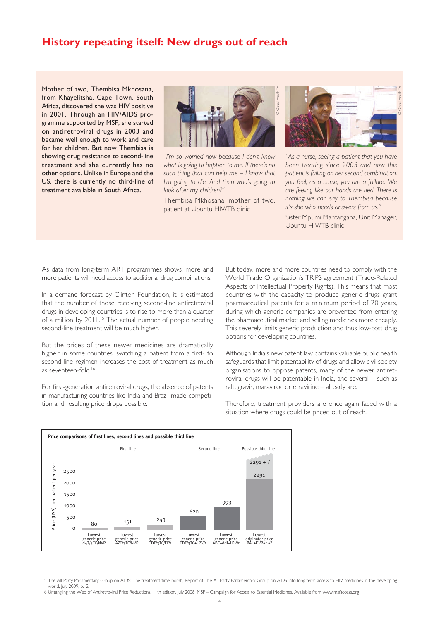## **History repeating itself: New drugs out of reach**

Mother of two, Thembisa Mkhosana, from Khayelitsha, Cape Town, South Africa, discovered she was HIV positive in 2001. Through an HIV/AIDS programme supported by MSF, she started on antiretroviral drugs in 2003 and became well enough to work and care for her children. But now Thembisa is showing drug resistance to second-line treatment and she currently has no other options. Unlike in Europe and the US, there is currently no third-line of treatment available in South Africa.



*"I'm so worried now because I don't know what is going to happen to me. If there's no such thing that can help me – I know that I'm going to die. And then who's going to look after my children?"*

Thembisa Mkhosana, mother of two, patient at Ubuntu HIV/TB clinic



*"As a nurse, seeing a patient that you have been treating since 2003 and now this patient is failing on her second combination, you feel, as a nurse, you are a failure. We are feeling like our hands are tied. There is nothing we can say to Thembisa because it's she who needs answers from us."*

Sister Mpumi Mantangana, Unit Manager, Ubuntu HIV/TB clinic

As data from long-term ART programmes shows, more and more patients will need access to additional drug combinations.

In a demand forecast by Clinton Foundation, it is estimated that the number of those receiving second-line antiretroviral drugs in developing countries is to rise to more than a quarter of a million by 2011.<sup>15</sup> The actual number of people needing second-line treatment will be much higher.

But the prices of these newer medicines are dramatically higher: in some countries, switching a patient from a first- to second-line regimen increases the cost of treatment as much as seventeen-fold.<sup>16</sup>

For first-generation antiretroviral drugs, the absence of patents in manufacturing countries like India and Brazil made competition and resulting price drops possible.

But today, more and more countries need to comply with the World Trade Organization's TRIPS agreement (Trade-Related Aspects of Intellectual Property Rights). This means that most countries with the capacity to produce generic drugs grant pharmaceutical patents for a minimum period of 20 years, during which generic companies are prevented from entering the pharmaceutical market and selling medicines more cheaply. This severely limits generic production and thus low-cost drug options for developing countries.

Although India's new patent law contains valuable public health safeguards that limit patentability of drugs and allow civil society organisations to oppose patents, many of the newer antiretroviral drugs will be patentable in India, and several – such as raltegravir, maraviroc or etravirine – already are.



Therefore, treatment providers are once again faced with a situation where drugs could be priced out of reach.

<sup>15</sup> The All-Party Parlamentary Group on AIDS: The treatment time bomb, Report of The All-Party Parlamentary Group on AIDS into long-term access to HIV medicines in the developing world, July 2009, p.12. 16 Untangling the Web of Antiretroviral Price Reductions, 11th edition, July 2008. MSF – Campaign for Access to Essential Medicines. Available from www.msfaccess.org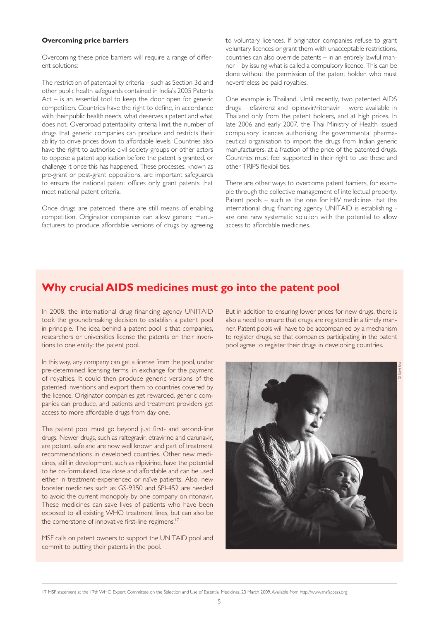#### **Overcoming price barriers**

Overcoming these price barriers will require a range of different solutions:

The restriction of patentability criteria – such as Section 3d and other public health safeguards contained in India's 2005 Patents Act – is an essential tool to keep the door open for generic competition. Countries have the right to define, in accordance with their public health needs, what deserves a patent and what does not. Overbroad patentability criteria limit the number of drugs that generic companies can produce and restricts their ability to drive prices down to affordable levels. Countries also have the right to authorise civil society groups or other actors to oppose a patent application before the patent is granted, or challenge it once this has happened. These processes, known as pre-grant or post-grant oppositions, are important safeguards to ensure the national patent offices only grant patents that meet national patent criteria.

Once drugs are patented, there are still means of enabling competition. Originator companies can allow generic manufacturers to produce affordable versions of drugs by agreeing to voluntary licences. If originator companies refuse to grant voluntary licences or grant them with unacceptable restrictions, countries can also override patents – in an entirely lawful manner – by issuing what is called a compulsory licence. This can be done without the permission of the patent holder, who must nevertheless be paid royalties.

One example is Thailand. Until recently, two patented AIDS drugs – efavirenz and lopinavir/ritonavir – were available in Thailand only from the patent holders, and at high prices. In late 2006 and early 2007, the Thai Ministry of Health issued compulsory licences authorising the governmental pharmaceutical organisation to import the drugs from Indian generic manufacturers, at a fraction of the price of the patented drugs. Countries must feel supported in their right to use these and other TRIPS flexibilities.

There are other ways to overcome patent barriers, for example through the collective management of intellectual property. Patent pools – such as the one for HIV medicines that the international drug financing agency UNITAID is establishing are one new systematic solution with the potential to allow access to affordable medicines.

## **Why crucial AIDS medicines must go into the patent pool**

In 2008, the international drug financing agency UNITAID took the groundbreaking decision to establish a patent pool in principle. The idea behind a patent pool is that companies, researchers or universities license the patents on their inventions to one entity: the patent pool.

In this way, any company can get a license from the pool, under pre-determined licensing terms, in exchange for the payment of royalties. It could then produce generic versions of the patented inventions and export them to countries covered by the licence. Originator companies get rewarded, generic companies can produce, and patients and treatment providers get access to more affordable drugs from day one.

The patent pool must go beyond just first- and second-line drugs. Newer drugs, such as raltegravir, etravirine and darunavir, are potent, safe and are now well known and part of treatment recommendations in developed countries. Other new medicines, still in development, such as rilpivirine, have the potential to be co-formulated, low dose and affordable and can be used either in treatment-experienced or naïve patients. Also, new booster medicines such as GS-9350 and SPI-452 are needed to avoid the current monopoly by one company on ritonavir. These medicines can save lives of patients who have been exposed to all existing WHO treatment lines, but can also be the cornerstone of innovative first-line regimens.<sup>17</sup>

MSF calls on patent owners to support the UNITAID pool and commit to putting their patents in the pool.

But in addition to ensuring lower prices for new drugs, there is also a need to ensure that drugs are registered in a timely manner. Patent pools will have to be accompanied by a mechanism to register drugs, so that companies participating in the patent pool agree to register their drugs in developing countries.



17 MSF statement at the 17th WHO Expert Committee on the Selection and Use of Essential Medicines, 23 March 2009. Available from http://www.msfaccess.org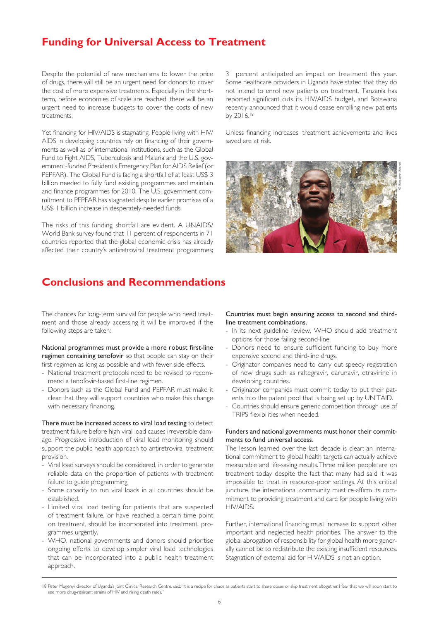## **Funding for Universal Access to Treatment**

Despite the potential of new mechanisms to lower the price of drugs, there will still be an urgent need for donors to cover the cost of more expensive treatments. Especially in the shortterm, before economies of scale are reached, there will be an urgent need to increase budgets to cover the costs of new treatments.

Yet financing for HIV/AIDS is stagnating. People living with HIV/ AIDS in developing countries rely on financing of their governments as well as of international institutions, such as the Global Fund to Fight AIDS, Tuberculosis and Malaria and the U.S. government-funded President's Emergency Plan for AIDS Relief (or PEPFAR). The Global Fund is facing a shortfall of at least US\$ 3 billion needed to fully fund existing programmes and maintain and finance programmes for 2010. The U.S. government commitment to PEPFAR has stagnated despite earlier promises of a US\$ 1 billion increase in desperately-needed funds.

The risks of this funding shortfall are evident. A UNAIDS/ World Bank survey found that 11 percent of respondents in 71 countries reported that the global economic crisis has already affected their country's antiretroviral treatment programmes;

**Conclusions and Recommendations**

The chances for long-term survival for people who need treatment and those already accessing it will be improved if the following steps are taken:

National programmes must provide a more robust first-line regimen containing tenofovir so that people can stay on their first regimen as long as possible and with fewer side effects.

- National treatment protocols need to be revised to recommend a tenofovir-based first-line regimen.
- Donors such as the Global Fund and PEPFAR must make it clear that they will support countries who make this change with necessary financing.

There must be increased access to viral load testing to detect treatment failure before high viral load causes irreversible damage. Progressive introduction of viral load monitoring should support the public health approach to antiretroviral treatment provision.

- Viral load surveys should be considered, in order to generate reliable data on the proportion of patients with treatment failure to guide programming.
- Some capacity to run viral loads in all countries should be established.
- Limited viral load testing for patients that are suspected of treatment failure, or have reached a certain time point on treatment, should be incorporated into treatment, programmes urgently.
- WHO, national governments and donors should prioritise ongoing efforts to develop simpler viral load technologies that can be incorporated into a public health treatment approach.

31 percent anticipated an impact on treatment this year. Some healthcare providers in Uganda have stated that they do not intend to enrol new patients on treatment. Tanzania has reported significant cuts its HIV/AIDS budget, and Botswana recently announced that it would cease enrolling new patients by 2016.18

Unless financing increases, treatment achievements and lives saved are at risk.



#### Countries must begin ensuring access to second and thirdline treatment combinations.

- In its next guideline review, WHO should add treatment options for those failing second-line.
- Donors need to ensure sufficient funding to buy more expensive second and third-line drugs.
- Originator companies need to carry out speedy registration of new drugs such as raltegravir, darunavir, etravirine in developing countries.
- Originator companies must commit today to put their patents into the patent pool that is being set up by UNITAID.
- Countries should ensure generic competition through use of TRIPS flexibilities when needed.

#### Funders and national governments must honor their commitments to fund universal access.

The lesson learned over the last decade is clear: an international commitment to global health targets can actually achieve measurable and life-saving results. Three million people are on treatment today despite the fact that many had said it was impossible to treat in resource-poor settings. At this critical juncture, the international community must re-affirm its commitment to providing treatment and care for people living with HIV/AIDS.

Further, international financing must increase to support other important and neglected health priorities. The answer to the global abrogation of responsibility for global health more generally cannot be to redistribute the existing insufficient resources. Stagnation of external aid for HIV/AIDS is not an option.

<sup>18</sup> Peter Mugenyi, director of Uganda's Joint Clinical Research Centre, said: "It is a recipe for chaos as patients start to share doses or skip treatment altogether. I fear that we will soon start to see more drug-resistant strains of HIV and rising death rates.